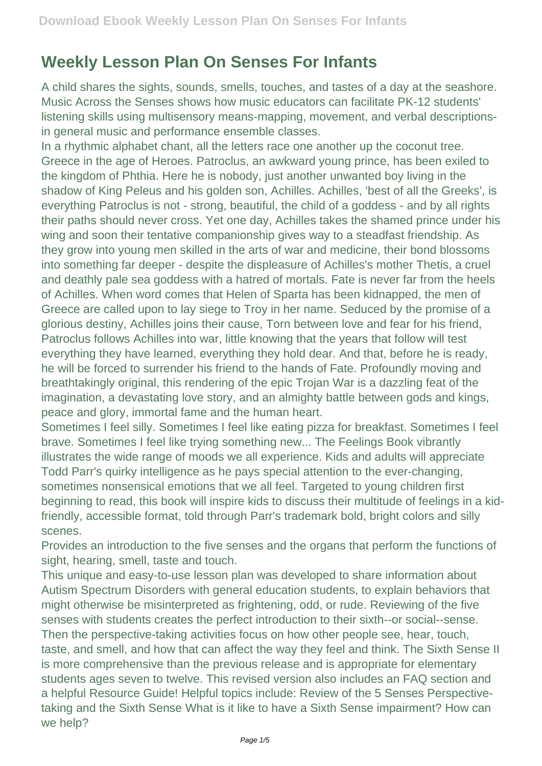## **Weekly Lesson Plan On Senses For Infants**

A child shares the sights, sounds, smells, touches, and tastes of a day at the seashore. Music Across the Senses shows how music educators can facilitate PK-12 students' listening skills using multisensory means-mapping, movement, and verbal descriptionsin general music and performance ensemble classes.

In a rhythmic alphabet chant, all the letters race one another up the coconut tree. Greece in the age of Heroes. Patroclus, an awkward young prince, has been exiled to the kingdom of Phthia. Here he is nobody, just another unwanted boy living in the shadow of King Peleus and his golden son, Achilles. Achilles, 'best of all the Greeks', is everything Patroclus is not - strong, beautiful, the child of a goddess - and by all rights their paths should never cross. Yet one day, Achilles takes the shamed prince under his wing and soon their tentative companionship gives way to a steadfast friendship. As they grow into young men skilled in the arts of war and medicine, their bond blossoms into something far deeper - despite the displeasure of Achilles's mother Thetis, a cruel and deathly pale sea goddess with a hatred of mortals. Fate is never far from the heels of Achilles. When word comes that Helen of Sparta has been kidnapped, the men of Greece are called upon to lay siege to Troy in her name. Seduced by the promise of a glorious destiny, Achilles joins their cause, Torn between love and fear for his friend, Patroclus follows Achilles into war, little knowing that the years that follow will test everything they have learned, everything they hold dear. And that, before he is ready, he will be forced to surrender his friend to the hands of Fate. Profoundly moving and breathtakingly original, this rendering of the epic Trojan War is a dazzling feat of the imagination, a devastating love story, and an almighty battle between gods and kings, peace and glory, immortal fame and the human heart.

Sometimes I feel silly. Sometimes I feel like eating pizza for breakfast. Sometimes I feel brave. Sometimes I feel like trying something new... The Feelings Book vibrantly illustrates the wide range of moods we all experience. Kids and adults will appreciate Todd Parr's quirky intelligence as he pays special attention to the ever-changing, sometimes nonsensical emotions that we all feel. Targeted to young children first beginning to read, this book will inspire kids to discuss their multitude of feelings in a kidfriendly, accessible format, told through Parr's trademark bold, bright colors and silly scenes.

Provides an introduction to the five senses and the organs that perform the functions of sight, hearing, smell, taste and touch.

This unique and easy-to-use lesson plan was developed to share information about Autism Spectrum Disorders with general education students, to explain behaviors that might otherwise be misinterpreted as frightening, odd, or rude. Reviewing of the five senses with students creates the perfect introduction to their sixth--or social--sense. Then the perspective-taking activities focus on how other people see, hear, touch, taste, and smell, and how that can affect the way they feel and think. The Sixth Sense II is more comprehensive than the previous release and is appropriate for elementary students ages seven to twelve. This revised version also includes an FAQ section and a helpful Resource Guide! Helpful topics include: Review of the 5 Senses Perspectivetaking and the Sixth Sense What is it like to have a Sixth Sense impairment? How can we help?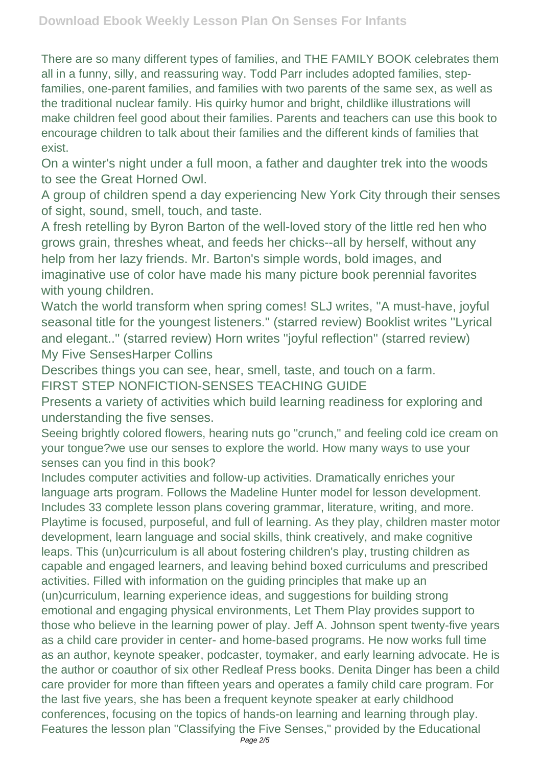There are so many different types of families, and THE FAMILY BOOK celebrates them all in a funny, silly, and reassuring way. Todd Parr includes adopted families, stepfamilies, one-parent families, and families with two parents of the same sex, as well as the traditional nuclear family. His quirky humor and bright, childlike illustrations will make children feel good about their families. Parents and teachers can use this book to encourage children to talk about their families and the different kinds of families that exist.

On a winter's night under a full moon, a father and daughter trek into the woods to see the Great Horned Owl.

A group of children spend a day experiencing New York City through their senses of sight, sound, smell, touch, and taste.

A fresh retelling by Byron Barton of the well-loved story of the little red hen who grows grain, threshes wheat, and feeds her chicks--all by herself, without any help from her lazy friends. Mr. Barton's simple words, bold images, and imaginative use of color have made his many picture book perennial favorites with young children.

Watch the world transform when spring comes! SLJ writes, ''A must-have, joyful seasonal title for the youngest listeners.'' (starred review) Booklist writes ''Lyrical and elegant..'' (starred review) Horn writes ''joyful reflection'' (starred review) My Five SensesHarper Collins

Describes things you can see, hear, smell, taste, and touch on a farm. FIRST STEP NONFICTION-SENSES TEACHING GUIDE

Presents a variety of activities which build learning readiness for exploring and understanding the five senses.

Seeing brightly colored flowers, hearing nuts go "crunch," and feeling cold ice cream on your tongue?we use our senses to explore the world. How many ways to use your senses can you find in this book?

Includes computer activities and follow-up activities. Dramatically enriches your language arts program. Follows the Madeline Hunter model for lesson development. Includes 33 complete lesson plans covering grammar, literature, writing, and more. Playtime is focused, purposeful, and full of learning. As they play, children master motor development, learn language and social skills, think creatively, and make cognitive leaps. This (un)curriculum is all about fostering children's play, trusting children as capable and engaged learners, and leaving behind boxed curriculums and prescribed activities. Filled with information on the guiding principles that make up an (un)curriculum, learning experience ideas, and suggestions for building strong emotional and engaging physical environments, Let Them Play provides support to those who believe in the learning power of play. Jeff A. Johnson spent twenty-five years as a child care provider in center- and home-based programs. He now works full time as an author, keynote speaker, podcaster, toymaker, and early learning advocate. He is the author or coauthor of six other Redleaf Press books. Denita Dinger has been a child care provider for more than fifteen years and operates a family child care program. For the last five years, she has been a frequent keynote speaker at early childhood conferences, focusing on the topics of hands-on learning and learning through play. Features the lesson plan "Classifying the Five Senses," provided by the Educational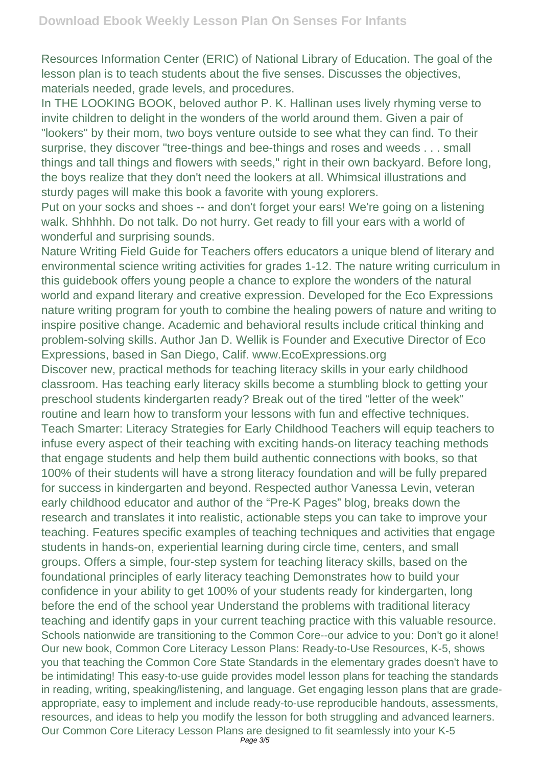Resources Information Center (ERIC) of National Library of Education. The goal of the lesson plan is to teach students about the five senses. Discusses the objectives, materials needed, grade levels, and procedures.

In THE LOOKING BOOK, beloved author P. K. Hallinan uses lively rhyming verse to invite children to delight in the wonders of the world around them. Given a pair of "lookers" by their mom, two boys venture outside to see what they can find. To their surprise, they discover "tree-things and bee-things and roses and weeds . . . small things and tall things and flowers with seeds," right in their own backyard. Before long, the boys realize that they don't need the lookers at all. Whimsical illustrations and sturdy pages will make this book a favorite with young explorers.

Put on your socks and shoes -- and don't forget your ears! We're going on a listening walk. Shhhhh. Do not talk. Do not hurry. Get ready to fill your ears with a world of wonderful and surprising sounds.

Nature Writing Field Guide for Teachers offers educators a unique blend of literary and environmental science writing activities for grades 1-12. The nature writing curriculum in this guidebook offers young people a chance to explore the wonders of the natural world and expand literary and creative expression. Developed for the Eco Expressions nature writing program for youth to combine the healing powers of nature and writing to inspire positive change. Academic and behavioral results include critical thinking and problem-solving skills. Author Jan D. Wellik is Founder and Executive Director of Eco Expressions, based in San Diego, Calif. www.EcoExpressions.org

Discover new, practical methods for teaching literacy skills in your early childhood classroom. Has teaching early literacy skills become a stumbling block to getting your preschool students kindergarten ready? Break out of the tired "letter of the week" routine and learn how to transform your lessons with fun and effective techniques. Teach Smarter: Literacy Strategies for Early Childhood Teachers will equip teachers to infuse every aspect of their teaching with exciting hands-on literacy teaching methods that engage students and help them build authentic connections with books, so that 100% of their students will have a strong literacy foundation and will be fully prepared for success in kindergarten and beyond. Respected author Vanessa Levin, veteran early childhood educator and author of the "Pre-K Pages" blog, breaks down the research and translates it into realistic, actionable steps you can take to improve your teaching. Features specific examples of teaching techniques and activities that engage students in hands-on, experiential learning during circle time, centers, and small groups. Offers a simple, four-step system for teaching literacy skills, based on the foundational principles of early literacy teaching Demonstrates how to build your confidence in your ability to get 100% of your students ready for kindergarten, long before the end of the school year Understand the problems with traditional literacy teaching and identify gaps in your current teaching practice with this valuable resource. Schools nationwide are transitioning to the Common Core--our advice to you: Don't go it alone! Our new book, Common Core Literacy Lesson Plans: Ready-to-Use Resources, K-5, shows you that teaching the Common Core State Standards in the elementary grades doesn't have to be intimidating! This easy-to-use guide provides model lesson plans for teaching the standards in reading, writing, speaking/listening, and language. Get engaging lesson plans that are gradeappropriate, easy to implement and include ready-to-use reproducible handouts, assessments, resources, and ideas to help you modify the lesson for both struggling and advanced learners. Our Common Core Literacy Lesson Plans are designed to fit seamlessly into your K-5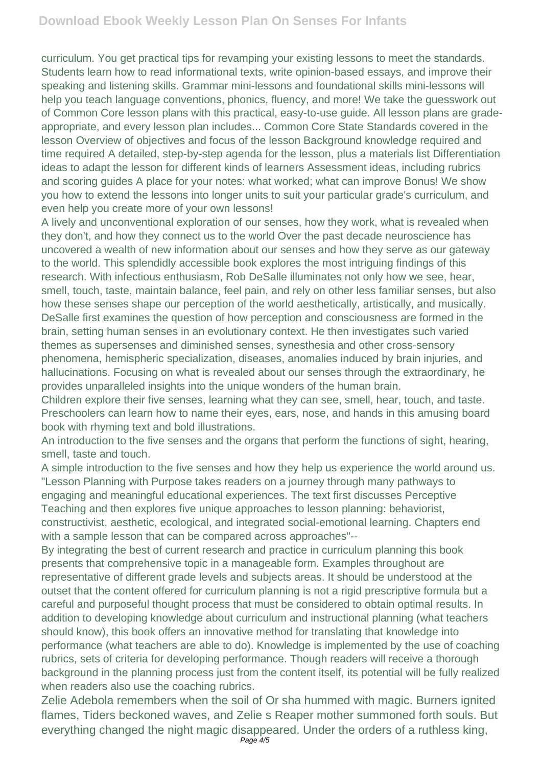curriculum. You get practical tips for revamping your existing lessons to meet the standards. Students learn how to read informational texts, write opinion-based essays, and improve their speaking and listening skills. Grammar mini-lessons and foundational skills mini-lessons will help you teach language conventions, phonics, fluency, and more! We take the guesswork out of Common Core lesson plans with this practical, easy-to-use guide. All lesson plans are gradeappropriate, and every lesson plan includes... Common Core State Standards covered in the lesson Overview of objectives and focus of the lesson Background knowledge required and time required A detailed, step-by-step agenda for the lesson, plus a materials list Differentiation ideas to adapt the lesson for different kinds of learners Assessment ideas, including rubrics and scoring guides A place for your notes: what worked; what can improve Bonus! We show you how to extend the lessons into longer units to suit your particular grade's curriculum, and even help you create more of your own lessons!

A lively and unconventional exploration of our senses, how they work, what is revealed when they don't, and how they connect us to the world Over the past decade neuroscience has uncovered a wealth of new information about our senses and how they serve as our gateway to the world. This splendidly accessible book explores the most intriguing findings of this research. With infectious enthusiasm, Rob DeSalle illuminates not only how we see, hear, smell, touch, taste, maintain balance, feel pain, and rely on other less familiar senses, but also how these senses shape our perception of the world aesthetically, artistically, and musically. DeSalle first examines the question of how perception and consciousness are formed in the brain, setting human senses in an evolutionary context. He then investigates such varied themes as supersenses and diminished senses, synesthesia and other cross-sensory phenomena, hemispheric specialization, diseases, anomalies induced by brain injuries, and hallucinations. Focusing on what is revealed about our senses through the extraordinary, he provides unparalleled insights into the unique wonders of the human brain.

Children explore their five senses, learning what they can see, smell, hear, touch, and taste. Preschoolers can learn how to name their eyes, ears, nose, and hands in this amusing board book with rhyming text and bold illustrations.

An introduction to the five senses and the organs that perform the functions of sight, hearing, smell, taste and touch.

A simple introduction to the five senses and how they help us experience the world around us. "Lesson Planning with Purpose takes readers on a journey through many pathways to engaging and meaningful educational experiences. The text first discusses Perceptive Teaching and then explores five unique approaches to lesson planning: behaviorist, constructivist, aesthetic, ecological, and integrated social-emotional learning. Chapters end with a sample lesson that can be compared across approaches"--

By integrating the best of current research and practice in curriculum planning this book presents that comprehensive topic in a manageable form. Examples throughout are representative of different grade levels and subjects areas. It should be understood at the outset that the content offered for curriculum planning is not a rigid prescriptive formula but a careful and purposeful thought process that must be considered to obtain optimal results. In addition to developing knowledge about curriculum and instructional planning (what teachers should know), this book offers an innovative method for translating that knowledge into performance (what teachers are able to do). Knowledge is implemented by the use of coaching rubrics, sets of criteria for developing performance. Though readers will receive a thorough background in the planning process just from the content itself, its potential will be fully realized when readers also use the coaching rubrics.

Zelie Adebola remembers when the soil of Or sha hummed with magic. Burners ignited flames, Tiders beckoned waves, and Zelie s Reaper mother summoned forth souls. But everything changed the night magic disappeared. Under the orders of a ruthless king,